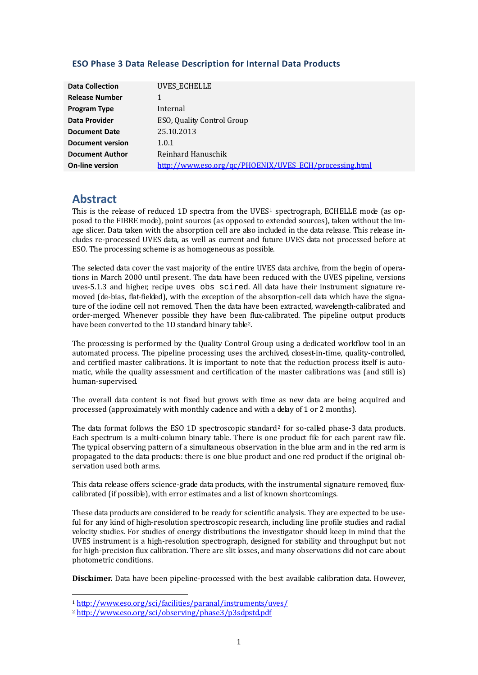#### **ESO Phase 3 Data Release Description for Internal Data Products**

| <b>Data Collection</b>  | UVES_ECHELLE                                           |
|-------------------------|--------------------------------------------------------|
| <b>Release Number</b>   |                                                        |
| <b>Program Type</b>     | Internal                                               |
| Data Provider           | ESO, Quality Control Group                             |
| <b>Document Date</b>    | 25.10.2013                                             |
| <b>Document version</b> | 1.0.1                                                  |
| <b>Document Author</b>  | Reinhard Hanuschik                                     |
| <b>On-line version</b>  | http://www.eso.org/ac/PHOENIX/UVES_ECH/processing.html |

## **Abstract**

This is the release of reduced [1](#page-0-0)D spectra from the UVES<sup>1</sup> spectrograph, ECHELLE mode (as opposed to the FIBRE mode), point sources (as opposed to extended sources), taken without the im‐ age slicer. Data taken with the absorption cell are also included in the data release. This release includes re‐processed UVES data, as well as current and future UVES data not processed before at ESO. The processing scheme is as homogeneous as possible.

The selected data cover the vast majority of the entire UVES data archive, from the begin of opera‐ tions in March 2000 until present. The data have been reduced with the UVES pipeline, versions uves-5.1.3 and higher, recipe uves obs scired. All data have their instrument signature re– moved (de-bias, flat-fielded), with the exception of the absorption-cell data which have the signature of the iodine cell not removed. Then the data have been extracted, wavelength‐calibrated and order-merged. Whenever possible they have been flux-calibrated. The pipeline output products have been converted to the 1D standard binary table2.

The processing is performed by the Quality Control Group using a dedicated workflow tool in an automated process. The pipeline processing uses the archived, closest-in-time, quality-controlled, and certified master calibrations. It is important to note that the reduction process itself is automatic, while the quality assessment and certification of the master calibrations was (and still is) human‐supervised.

The overall data content is not fixed but grows with time as new data are being acquired and processed (approximately with monthly cadence and with a delay of 1 or 2 months).

The data format follows the ESO 1D spectroscopic standard<sup>[2](#page-0-1)</sup> for so-called phase-3 data products. Each spectrum is a multi-column binary table. There is one product file for each parent raw file. The typical observing pattern of a simultaneous observation in the blue arm and in the red arm is propagated to the data products: there is one blue product and one red product if the original observation used both arms.

This data release offers science-grade data products, with the instrumental signature removed, fluxcalibrated (if possible), with error estimates and a list of known shortcomings.

These data products are considered to be ready for scientific analysis. They are expected to be useful for any kind of high-resolution spectroscopic research, including line profile studies and radial velocity studies. For studies of energy distributions the investigator should keep in mind that the UVES instrument is a high‐resolution spectrograph, designed for stability and throughput but not for high-precision flux calibration. There are slit bsses, and many observations did not care about photometric conditions.

**Disclaimer.** Data have been pipeline-processed with the best available calibration data. However,

<u> 1989 - Johann Stein, marwolaethau a bh</u>

<span id="page-0-0"></span>[<sup>1</sup>](http://www.eso.org/sci/observing/phase3/p3sdpstd.pdf) [http://www.eso.org/sci/facilities/paranal/instruments/uve](http://www.eso.org/sci/observing/phase3/p3sdpstd.pdf)s/

<span id="page-0-1"></span><sup>2</sup> http://www.eso.org/sci/observing/phase3/p3sdpstd.pdf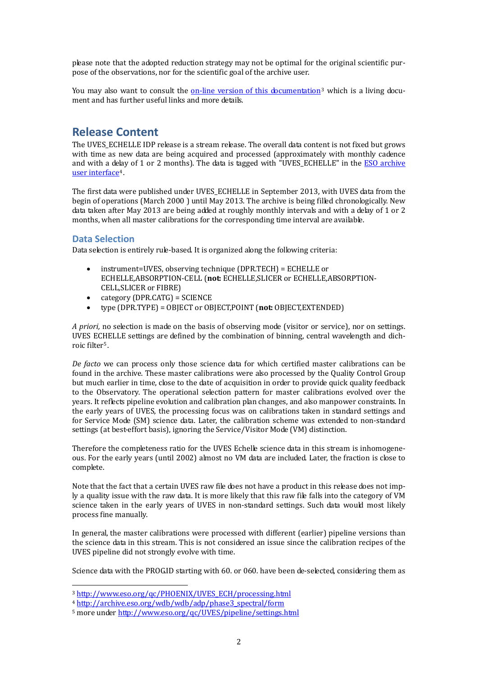please note that the adopted reduction strategy may not be optimal for the original scientific pur‐ pose of the observations, nor for the scientific goal of the archive user.

You may also want to consult the  $\Omega$ -line version of this documentation<sup>[3](#page-1-0)</sup> which is a living document and has further useful links and more details.

## **Release Content**

The UVES ECHELLE IDP release is a stream release. The overall data content is not fixed but grows with time as new data are being acquired and processed (approximately with monthly cadence and with a delay of 1 or 2 months). The data is tagged with "UVES ECHELLE" in the ESO archive user interface4.

The first data were published under UVES\_ECHELLE in September 2013, with UVES data from the begin of operations (March 2000 ) until May 2013. The archive is being filled chronologically. New data taken after May 2013 are being added at roughly monthly intervals and with a delay of 1 or 2 months, when all master calibrations for the corresponding time interval are available.

## **D ata Selection**

D ata selection is entirely rule‐based. It is organized along the following criteria:

- instrument=UVES, observing technique (DPR.TECH) = ECHELLE or ECHELLE,ABSORPTION‐CELL (**not:** ECHELLE,SLICER or ECHELLE,ABSORPTION‐ CELL,SLICER or FIBRE)
- ategory (DPR.CATG) = SCIENCE c
- type (DPR.TYPE) = OBJECT or OBJECT,POINT (**not:** OBJECT,EXTENDED)

*A priori,* no selection is made on the basis of observing mode (visitor or service), nor on settings. UVES ECHELLE settings are defined by the combination of binning, central wavelength and dichroic filter<sup>5</sup>.

*De facto* we can process only those science data for which certified master calibrations can be found in the archive. These master calibrations were also processed by the Quality Control Group but much earlier in time, close to the date of acquisition in order to provide quick quality feedback to the Observatory. The operational selection pattern for master calibrations evolved over the years. It reflects pipeline evolution and calibration plan changes, and also manpower constraints. In the early years of UVES, the processing focus was on calibrations taken in standard settings and for Service Mode (SM) science data. Later, the calibration scheme was extended to non-standard settings (at best-effort basis), ignoring the Service/Visitor Mode (VM) distinction.

Therefore the completeness ratio for the UVES Echelle science data in this stream is inhomogene‐ ous. For the early years (until 2002) almost no VM data are included. Later, the fraction is close to complete.

Note that the fact that a certain UVES raw file does not have a product in this release does not imply a quality issue with the raw data. It is more likely that this raw file falls into the category of VM science taken in the early years of UVES in non-standard settings. Such data would most likely process fine manually.

In general, the master calibrations were processed with different (earlier) pipeline versions than the science data in this stream. This is not considered an issue since the calibration recipes of the UVES pipeline did not strongly evolve with time.

Science data with the PROGID starting with 60. or 060. have been de-selected, considering them as

<u> 1989 - Johann Stein, marwolaethau a bh</u>

<span id="page-1-0"></span><sup>3</sup> [http://www.eso.org/qc/PHOENIX/UVES\\_ECH/processing.html](http://www.eso.org/qc/UVES/pipeline/settings.html)

<sup>4</sup> http://archive.eso.org/wdb/wdb/adp/phase3\_spectral/form

[<sup>5</sup> more under http://www.eso.org/qc/UVES/pipeline/settings.html](http://www.eso.org/qc/UVES/pipeline/settings.html)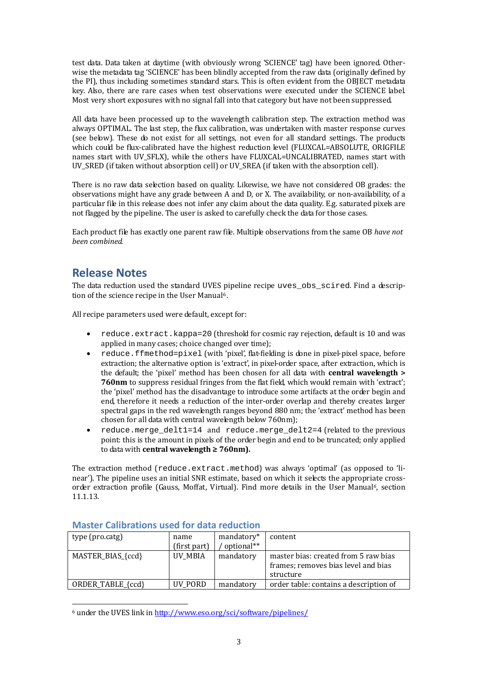test data. Data taken at daytime (with obviously wrong 'SCIENCE' tag) have been ignored. Otherwise the metadata tag 'SCIENCE' has been blindly accepted from the raw data (originally defined by the PI), thus including sometimes standard stars. This is often evident from the OBJECT metadata key. Also, there are rare cases when test observations were executed under the SCIENCE label. Most very short exposures with no signal fall into that category but have not been suppressed.

All data have been processed up to the wavelength calibration step. The extraction method was always OPTIMAL. The last step, the flux calibration, was undertaken with master response curves (see below). These do not exist for all settings, not even for all standard settings. The products which could be flux-calibrated have the highest reduction level (FLUXCAL=ABSOLUTE, ORIGFILE names start with UV\_SFLX), while the others have FLUXCAL=UNCALIBRATED, names start with UV\_SRED (if taken without absorption cell) or UV\_SREA (if taken with the absorption cell).

There is no raw data selection based on quality. Likewise, we have not considered OB grades: the observations might have any grade between A and D, or X. The availability, or non‐availability, of a particular file in this release does not infer any claim about the data quality. E.g. saturated pixels are not flagged by the pipeline. The user is asked to carefully check the data for those cases.

Each product file has exactly one parent raw file. Multiple observations from the same OB *have not been combined.*

## **Release Notes**

<span id="page-2-0"></span>The data reduction used the standard UVES pipeline recipe uves obs scired. Find a description of the science recipe in the User Manual<sup>6</sup>.

All recipe parameters used were default, except for:

- reduce.extract.kappa=20 (threshold for cosmic ray rejection, default is 10 and was applied in many cases; choice changed over time);
- reduce.ffmethod=pixel (with 'pixel', flat-fielding is done in pixel-pixel space, before extraction; the alternative option is 'extract', in pixel-order space, after extraction, which is the default; the 'pixel' method has been chosen for all data with **central wavelength > 760nm** to suppress residual fringes from the flat field, which would remain with 'extract'; the 'pixel' method has the disadvantage to introduce some artifacts at the order begin and end, therefore it needs a reduction of the inter‐order overlap and thereby creates larger spectral gaps in the red wavelength ranges beyond 880 nm; the 'extract' method has been chosen for all data with central wavelength below 760nm);
- reduce.merge\_delt1=14 and reduce.merge\_delt2=4 (related to the previous point: this is the amount in pixels of the order begin and end to be truncated; only applied to data with **central wavelength ≥ 760nm).**

The extraction method (reduce.extract.method) was always 'optimal' (as opposed to 'linear'). The pipeline uses an initial SNR estimate, based on which it selects the appropriate cross-order extraction profile (Gauss, Moffat, Virtual). Find more details in the User Manual<sup>[6](#page-2-0)</sup>, section 1 1.1.13.

| type (pro.catg)   | name<br>(first part) | mandatory*<br>optional** | content                                                                                  |
|-------------------|----------------------|--------------------------|------------------------------------------------------------------------------------------|
| MASTER_BIAS_{ccd} | UV_MBIA              | mandatory                | master bias: created from 5 raw bias<br>frames; removes bias level and bias<br>structure |
| ORDER_TABLE_{ccd} | UV PORD              | mandatory                | order table: contains a description of                                                   |

#### **Master Calibrations used for data reduction**

6 under the UVES link in <http://www.eso.org/sci/software/pipelines/>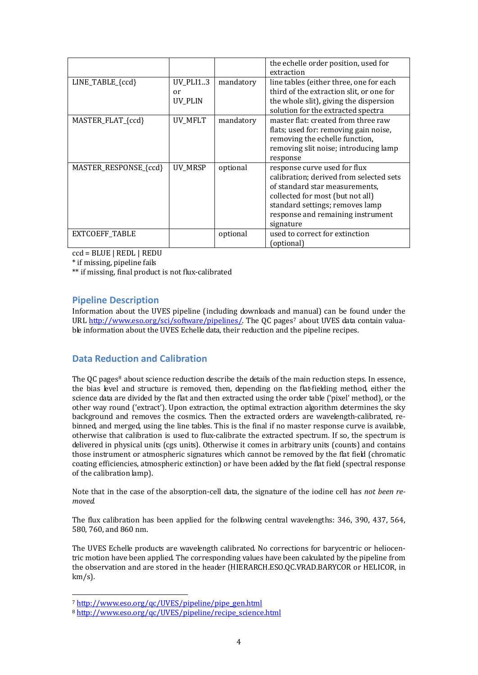|                       |                |           | the echelle order position, used for<br>extraction                                                                                                                                                                                 |
|-----------------------|----------------|-----------|------------------------------------------------------------------------------------------------------------------------------------------------------------------------------------------------------------------------------------|
| LINE_TABLE_{ccd}      | UV_PLI13<br>or | mandatory | line tables (either three, one for each<br>third of the extraction slit, or one for                                                                                                                                                |
|                       | UV_PLIN        |           | the whole slit), giving the dispersion<br>solution for the extracted spectra                                                                                                                                                       |
| MASTER_FLAT_{ccd}     | UV_MFLT        | mandatory | master flat: created from three raw<br>flats; used for: removing gain noise,<br>removing the echelle function,<br>removing slit noise; introducing lamp<br>response                                                                |
| MASTER_RESPONSE_{ccd} | UV MRSP        | optional  | response curve used for flux<br>calibration; derived from selected sets<br>of standard star measurements,<br>collected for most (but not all)<br>standard settings; removes lamp<br>response and remaining instrument<br>signature |
| <b>EXTCOEFF TABLE</b> |                | optional  | used to correct for extinction<br>(optional)                                                                                                                                                                                       |

ccd = BLUE | REDL | REDU

\* if missing, pipeline fails

\*\* if missing, final product is not flux-calibrated

### **Pipeline Description**

Information about the UVES pipeline (including downloads and manual) can be found under the URL [http://www.eso.org/sci/software/pipelines/.](http://www.eso.org/sci/software/pipelines/) The QC pages<sup>[7](#page-3-0)</sup> about UVES data contain valuable information about the UVES Echelle data, their reduction and the pipeline recipes.

### **Data Reduction and Calibration**

The QC pages<sup>[8](#page-3-1)</sup> about science reduction describe the details of the main reduction steps. In essence, the bias level and structure is removed, then, depending on the flat-fielding method, either the science data are divided by the flat and then extracted using the order table ('pixel' method), or the other way round ('extract'). Upon extraction, the optimal extraction algorithm determines the sky background and removes the cosmics. Then the extracted orders are wavelength-calibrated, rebinned, and merged, using the line tables. This is the final if no master response curve is available, otherwise that calibration is used to flux‐calibrate the extracted spectrum. If so, the spectrum is delivered in physical units (cgs units). Otherwise it comes in arbitrary units (counts) and contains those instrument or atmospheric signatures which cannot be removed by the flat field (chromatic coating efficiencies, atmospheric extinction) or have been added by the flat field (spectral response of the calibration lamp).

Note that in the case of the absorption‐cell data, the signature of the iodine cell has *not been removed.*

The flux calibration has been applied for the following central wavelengths: 346, 390, 437, 564, 580, 760, and 860 nm.

The UVES Echelle products are wavelength calibrated. No corrections for barycentric or heliocentric motion have been applied. The corresponding values have been calculated by the pipeline from the observation and are stored in the header (HIERARCH.ESO.QC.VRAD.BARYCOR or HELICOR, in  $km/s$ ).

<u> 1989 - Johann Stein, marwolaethau a bh</u>

<span id="page-3-0"></span>[<sup>7</sup>](http://www.eso.org/qc/UVES/pipeline/recipe_science.html) http://www.eso.org/qc/UVES/pipeline/pipe\_gen.html

<span id="page-3-1"></span><sup>8</sup> [http://www.eso.org/qc/UVES/pipeline/recipe\\_science](http://www.eso.org/qc/UVES/pipeline/recipe_science.html).html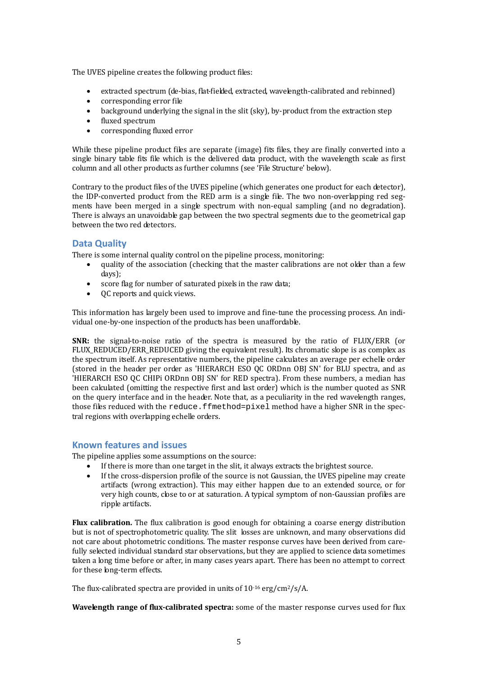The UVES pipeline creates the following product files:

- extracted spectrum (de-bias, flat-fielded, extracted, wavelength-calibrated and rebinned)
- corresponding error file
- background underlying the signal in the slit (sky), by-product from the extraction step
- fluxed spectrum
- corresponding fluxed error

While these pipeline product files are separate (image) fits files, they are finally converted into a single binary table fits file which is the delivered data product, with the wavelength scale as first column and all other products as further columns (see 'File Structure' below).

Contrary to the product files of the UVES pipeline (which generates one product for each detector), the IDP-converted product from the RED arm is a single file. The two non-overlapping red segments have been merged in a single spectrum with non-equal sampling (and no degradation). There is always an unavoidable gap between the two spectral segments due to the geometrical gap between the two red detectors.

## **Data Q uality**

There is some internal quality control on the pipeline process, monitoring:

- quality of the association (checking that the master calibrations are not older than a few days);
- score flag for number of saturated pixels in the raw data;
- QC reports and quick views.

This information has largely been used to improve and fine-tune the processing process. An individual one-by-one inspection of the products has been unaffordable.

**SNR:** the signal-to-noise ratio of the spectra is measured by the ratio of FLUX/ERR (or FLUX\_REDUCED/ERR\_REDUCED giving the equivalent result). Its chromatic slope is as complex as the spectrum itself. As representative numbers, the pipeline calculates an average per echelle order (stored in the header per order as 'HIERARCH ESO QC ORDnn OBJ SN' for BLU spectra, and as 'HIERARCH ESO QC CHIPi ORDnn OBJ SN' for RED spectra). From these numbers, a median has been calculated (omitting the respective first and last order) which is the number quoted as SNR on the query interface and in the header. Note that, as a peculiarity in the red wavelength ranges, those files reduced with the reduce.ffmethod=pixel method have a higher SNR in the spectral regions with overlapping echelle orders.

## **Known features and issues**

The pipe line applies some assumptions on the source:

- If there is more than one target in the slit, it always extracts the brightest source.
- If the cross-dispersion profile of the source is not Gaussian, the UVES pipeline may create artifacts (wrong extraction). This may either happen due to an extended source, or for very high counts, close to or at saturation. A typical symptom of non-Gaussian profiles are ripple artifacts.

**Flux calibration.** The flux calibration is good enough for obtaining a coarse energy distribution but is not of spectrophotometric quality. The slit losses are unknown, and many observations did not care about photometric conditions. The master response curves have been derived from carefully selected individual standard star observations, but they are applied to science data sometimes taken a long time before or after, in many cases years apart. There has been no attempt to correct for these long-term effects.

The flux-calibrated spectra are provided in units of  $10^{-16}$  erg/cm<sup>2</sup>/s/A.

**Wavelength range of fluxcalibrated spectra:** some of the master response curves used for flux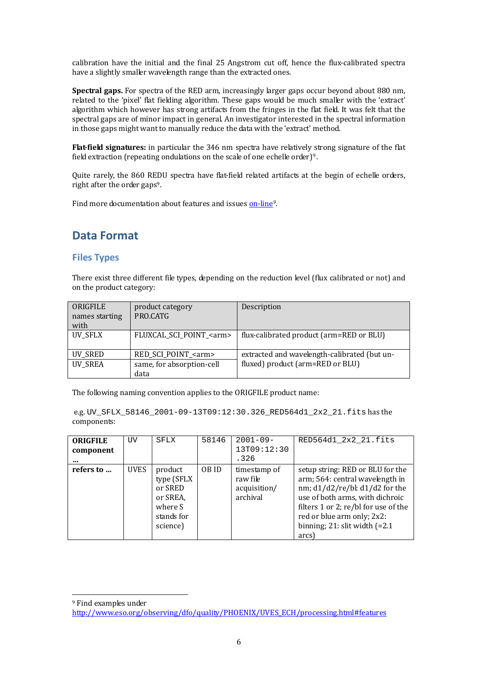c alibration have the initial and the final 25 Angstrom cut off, hence the flux‐calibrated spectra h ave a slightly smaller wavelength range than the extracted ones.

**Spectral gaps.** For spectra of the RED arm, increasingly larger gaps occur beyond about 880 nm, related to the 'pixel' flat fielding algorithm. These gaps would be much smaller with the 'extract' algorithm which however has strong artifacts from the fringes in the flat field. It was felt that the spectral gaps are of minor impact in general. An investigator interested in the spectral information in those gaps might want to manually reduce the data with the 'extract' method.

<span id="page-5-0"></span>**Flatfield signatures:** in particular the 346 nm spectra have relatively strong signature of the flat field extraction (repeating ondulations on the scale of one echelle order)9.

Quite rarely, the 860 REDU spectra have flat-field related artifacts at the begin of echelle orders, right after the order gaps9.

Find more documentation about features and issues on-line<sup>[9](#page-5-0)</sup>.

## **Data Format**

#### **Files Types**

There exist three different file types, depending on the reduction level (flux calibrated or not) and on the product category:

| ORIGFILE<br>names starting<br>with | product category<br>PRO.CATG                                      | Description                                                                      |
|------------------------------------|-------------------------------------------------------------------|----------------------------------------------------------------------------------|
| UV_SFLX                            | FLUXCAL_SCI_POINT_ <arm></arm>                                    | flux-calibrated product (arm=RED or BLU)                                         |
| UV_SRED<br><b>UV_SREA</b>          | RED_SCI_POINT_ <arm><br/>same, for absorption-cell<br/>data</arm> | extracted and wavelength-calibrated (but un-<br>fluxed) product (arm=RED or BLU) |

The following naming convention applies to the ORIGFILE product name:

 e.g. UV\_SFLX\_58146\_2001-09-13T09:12:30.326\_RED564d1\_2x2\_21.fits has the components:

| <b>ORIGFILE</b><br>component<br> | UV   | SFLX                                                                              | 58146 | $2001 - 09 -$<br>13T09:12:30<br>.326                 | RED564d1 2x2 21.fits                                                                                                                                                                                                                                        |
|----------------------------------|------|-----------------------------------------------------------------------------------|-------|------------------------------------------------------|-------------------------------------------------------------------------------------------------------------------------------------------------------------------------------------------------------------------------------------------------------------|
| refers to                        | UVES | product<br>type (SFLX<br>or SRED<br>or SREA,<br>where S<br>stands for<br>science) | OB ID | timestamp of<br>raw file<br>acquisition/<br>archival | setup string: RED or BLU for the<br>arm; 564: central wavelength in<br>nm; d1/d2/re/bl: d1/d2 for the<br>use of both arms, with dichroic<br>filters 1 or 2; re/bl for use of the<br>red or blue arm only; 2x2:<br>binning; 21: slit width $(=2.1)$<br>arcs) |

<sup>9</sup> Find examples under [http://www.eso.org/observing/dfo/quality/PHOENIX/UVES\\_ECH/processing.html#features](http://www.eso.org/observing/dfo/quality/PHOENIX/UVES_ECH/processing.html#features)